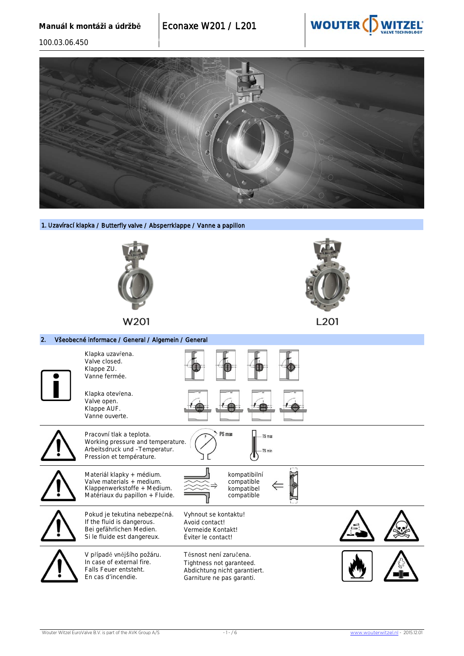

100.03.06.450



1. Uzavírací klapka / Butterfly valve / Absperrklappe / Vanne a papillon



W<sub>201</sub> M<sub>201</sub> M<sub>201</sub> W<sub>201</sub> W<sub>201</sub> W<sub>201</sub> W<sub>201</sub> W<sub>201</sub> W<sub>201</sub> W<sub>201</sub> W<sub>201</sub> W<sub>201</sub>





Matériaux du papillon + Fluide. compatible Pokud je tekutina nebezpečná. If the fluid is dangerous. Bei gefährlichen Medien. Si le fluide est dangereux. Vyhnout se kontaktu! Avoid contact! Vermeide Kontakt! Éviter le contact! V případě vnějšího požáru. In case of external fire. Těsnost není zaručena.



Tightness not garanteed. Abdichtung nicht garantiert. Garniture ne pas garanti.

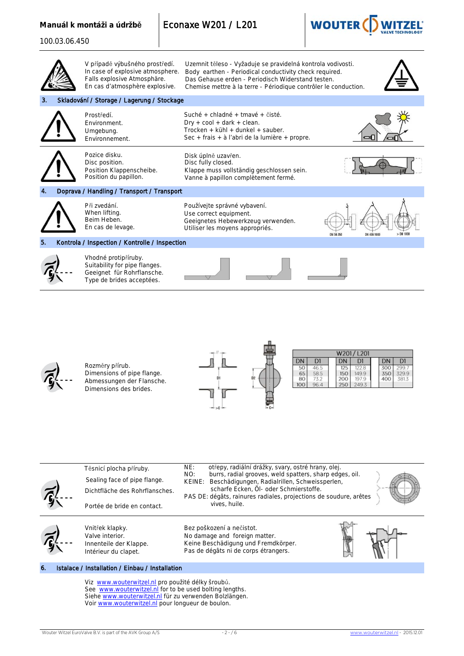## **Manuál k montáži a údržbě** Econaxe W201 / L201



| 100.03.06.450 |                                                                                                                                     |                                                                                                                                                                                                                                                                                                                        |
|---------------|-------------------------------------------------------------------------------------------------------------------------------------|------------------------------------------------------------------------------------------------------------------------------------------------------------------------------------------------------------------------------------------------------------------------------------------------------------------------|
|               | V případě výbušného prostředí.<br>In case of explosive atmosphere.<br>Falls explosive Atmosphäre.<br>En cas d'atmosphère explosive. | Uzemnit těleso - Vyžaduje se pravidelná kontrola vodivosti.<br>Body earthen - Periodical conductivity check required.<br>Das Gehause erden - Periodisch Widerstand testen.<br>Chemise mettre à la terre - Périodique contrôler le conduction.                                                                          |
| З.            | Skladování / Storage / Lagerung / Stockage                                                                                          |                                                                                                                                                                                                                                                                                                                        |
|               | Prostředí.<br>Environment.<br>Umgebung.<br>Environnement.                                                                           | Suché + chladné + tmavé + čisté.<br>$Dry + cool + dark + clean.$<br>Trocken + kühl + dunkel + sauber.<br>Sec + frais + à l'abri de la lumière + propre.                                                                                                                                                                |
|               | Pozice disku.<br>Disc position.<br>Position Klappenscheibe.<br>Position du papillon.                                                | Disk úplně uzavřen.<br>Disc fully closed.<br>Klappe muss vollständig geschlossen sein.<br>Vanne à papillon complètement fermé.                                                                                                                                                                                         |
|               | Doprava / Handling / Transport / Transport                                                                                          |                                                                                                                                                                                                                                                                                                                        |
|               | Při zvedání.<br>When lifting.<br>Beim Heben.<br>En cas de levage.                                                                   | Používejte správné vybavení.<br>Use correct equipment.<br>Geeignetes Hebewerkzeug verwenden.<br>Utiliser les moyens appropriés.                                                                                                                                                                                        |
| 5.            | Kontrola / Inspection / Kontrolle / Inspection                                                                                      |                                                                                                                                                                                                                                                                                                                        |
|               | Vhodné protipříruby.<br>Suitability for pipe flanges.<br>Geeignet für Rohrflansche.<br>Type de brides acceptées.                    |                                                                                                                                                                                                                                                                                                                        |
|               | Rozměry přírub.<br>Dimensions of pipe flange.<br>Abmessungen der Flansche.<br>Dimensions des brides.                                | W201/L201<br>D1<br>DN<br>DN<br>D1<br>DN<br>D1<br>50<br>46.5<br>125<br>122.8<br>300<br>299.7<br>65<br>58.5<br>150<br>149.9<br>350<br>329.9<br>80<br>73.2<br>200<br>197.9<br>400<br>381.3<br>250<br>96.4<br>249.3<br>100                                                                                                 |
|               | Těsnicí plocha příruby.<br>Sealing face of pipe flange.<br>Dichtfläche des Rohrflansches.<br>Portée de bride en contact.            | NE:<br>otřepy, radiální drážky, svary, ostré hrany, olej.<br>NO:<br>burrs, radial grooves, weld spatters, sharp edges, oil.<br>KEINE:<br>Beschädigungen, Radialrillen, Schweissperlen,<br>scharfe Ecken, Öl- oder Schmierstoffe.<br>PAS DE: dégâts, rainures radiales, projections de soudure, arêtes<br>vives, huile. |
|               | Vnitřek klapky.<br>Valve interior.                                                                                                  | Bez poškození a nečistot.<br>No damage and foreign matter.                                                                                                                                                                                                                                                             |
|               | Innenteile der Klappe.<br>Intérieur du clapet.                                                                                      | Keine Beschädigung und Fremdkörper.<br>Pas de dégâts ni de corps étrangers.                                                                                                                                                                                                                                            |

Viz [www.wouterwitzel.nl p](http://www.wouterwitzel.nl/)ro použité délky šroubů. See [www.wouterwitzel.nl](http://www.wweurovalve.nl/) for to be used bolting lengths. Siehe [www.wouterwitzel.n](http://www.wweurovalve.nl/)l für zu verwenden Bolzlängen. Voir **[www.wouterwitzel.nl](http://www.wweurovalve.nl/)** pour longueur de boulon.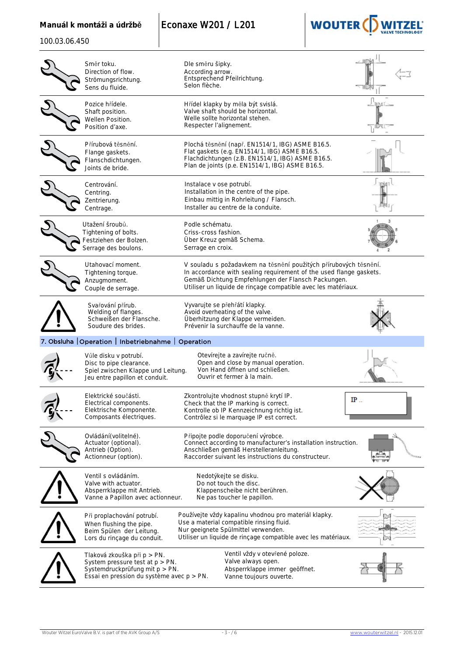|  |  |  | Manuál k montáži a údržbě |  |  |  |
|--|--|--|---------------------------|--|--|--|
|--|--|--|---------------------------|--|--|--|

**Econaxe W201 / L201** 



100.03.06.450

| Směr toku.<br>Direction of flow.<br>Strömungsrichtung.<br>Sens du fluide.                                                                        | Dle směru šipky.<br>According arrow.<br>Entsprechend Pfeilrichtung.<br>Selon flèche.                                                                                                                                                                          |    |
|--------------------------------------------------------------------------------------------------------------------------------------------------|---------------------------------------------------------------------------------------------------------------------------------------------------------------------------------------------------------------------------------------------------------------|----|
| Pozice hřídele.<br>Shaft position.<br>Wellen Position.<br>Position d'axe.                                                                        | Hřídel klapky by měla být svislá.<br>Valve shaft should be horizontal.<br>Welle sollte horizontal stehen.<br>Respecter l'alignement.                                                                                                                          |    |
| Přírubová těsnění.<br>Flange gaskets.<br>Flanschdichtungen.<br>Joints de bride.                                                                  | Plochá těsnění (např. EN1514/1, IBG) ASME B16.5.<br>Flat gaskets (e.g. EN1514/1, IBG) ASME B16.5.<br>Flachdichtungen (z.B. EN1514/1, IBG) ASME B16.5.<br>Plan de joints (p.e. EN1514/1, IBG) ASME B16.5.                                                      |    |
| Centrování.<br>Centring.<br>Zentrierung.<br>Centrage.                                                                                            | Instalace v ose potrubí.<br>Installation in the centre of the pipe.<br>Einbau mittig in Rohrleitung / Flansch.<br>Installer au centre de la conduite.                                                                                                         |    |
| Utažení šroubů.<br>Tightening of bolts.<br>Festziehen der Bolzen.<br>Serrage des boulons.                                                        | Podle schématu.<br>Criss-cross fashion.<br>Über Kreuz gemäß Schema.<br>Serrage en croix.                                                                                                                                                                      |    |
| Utahovací moment.<br>Tightening torque.<br>Anzugmoment.<br>Couple de serrage.                                                                    | V souladu s požadavkem na těsnění použitých přírubových těsnění.<br>In accordance with sealing requirement of the used flange gaskets.<br>Gemäß Dichtung Empfehlungen der Flansch Packungen.<br>Utiliser un liquide de rinçage compatible avec les matériaux. |    |
| Svařování přírub.<br>Welding of flanges.<br>Schweißen der Flansche.<br>Soudure des brides.                                                       | Vyvarujte se přehřátí klapky.<br>Avoid overheating of the valve.<br>Überhitzung der Klappe vermeiden.<br>Prévenir la surchauffe de la vanne.                                                                                                                  |    |
| 7. Obsluha   Operation   Inbetriebnahme   Operation                                                                                              |                                                                                                                                                                                                                                                               |    |
| Vůle disku v potrubí.<br>Disc to pipe clearance.<br>Spiel zwischen Klappe und Leitung.<br>Jeu entre papillon et conduit.                         | Otevírejte a zavírejte ručně.<br>Open and close by manual operation.<br>Von Hand öffnen und schließen.<br>Ouvrir et fermer à la main.                                                                                                                         |    |
| Elektrické součásti.<br>Electrical components.<br>Elektrische Komponente.<br>Composants électriques.                                             | Zkontrolujte vhodnost stupně krytí IP.<br>Check that the IP marking is correct.<br>Kontrolle ob IP Kennzeichnung richtig ist.<br>Contrôlez si le marquage IP est correct.                                                                                     | IP |
| Ovládání (volitelné).<br>Actuator (optional).<br>Antrieb (Option).<br>Actionneur (option).                                                       | Připojte podle doporučení výrobce.<br>Connect according to manufacturer's installation instruction.<br>Anschließen gemäß Herstelleranleitung.<br>Raccorder suivant les instructions du constructeur.                                                          |    |
| Ventil s ovládáním.<br>Valve with actuator.<br>Absperrklappe mit Antrieb.<br>Vanne a Papillon avec actionneur.                                   | Nedotýkejte se disku.<br>Do not touch the disc.<br>Klappenscheibe nicht berühren.<br>Ne pas toucher le papillon.                                                                                                                                              |    |
| Při proplachování potrubí.<br>When flushing the pipe.<br>Beim Spülen der Leitung.<br>Lors du rinçage du conduit.                                 | Používejte vždy kapalinu vhodnou pro materiál klapky.<br>Use a material compatible rinsing fluid.<br>Nur geeignete Spülmittel verwenden.<br>Utiliser un liquide de rinçage compatible avec les matériaux.                                                     |    |
| Tlaková zkouška při p > PN.<br>System pressure test at $p > PN$ .<br>Systemdruckprüfung mit p > PN.<br>Essai en pression du système avec p > PN. | Ventil vždy v otevřené poloze.<br>Valve always open.<br>Absperrklappe immer geöffnet.<br>Vanne toujours ouverte.                                                                                                                                              |    |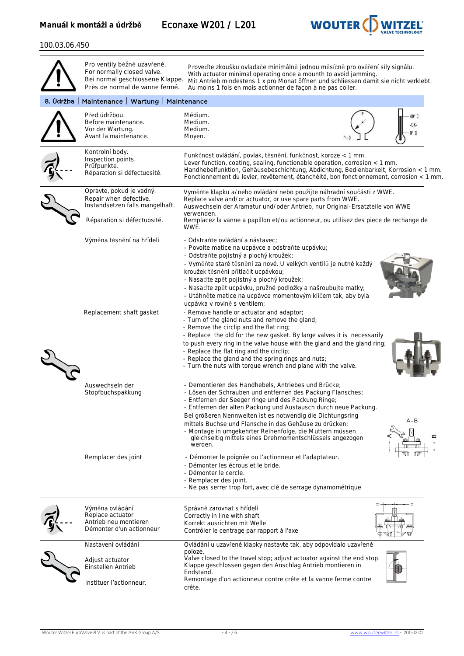Manuál k montáži a údržbě **Econaxe W201 / L201** 



100.03.06.450

|           | Pro ventily běžně uzavřené.<br>For normally closed valve.<br>Bei normal geschlossene Klappe.<br>Près de normal de vanne fermé. | Proveďte zkoušku ovladače minimálně jednou měsíčně pro ověření síly signálu.<br>With actuator minimal operating once a mounth to avoid jamming.<br>Mit Antrieb mindestens 1 x pro Monat öffnen und schliessen damit sie nicht verklebt.<br>Au moins 1 fois en mois actionner de façon à ne pas coller.                                                                                                                                                                                                                                                                                                                                                                                                                                                                                                                                                                                                                    |     |
|-----------|--------------------------------------------------------------------------------------------------------------------------------|---------------------------------------------------------------------------------------------------------------------------------------------------------------------------------------------------------------------------------------------------------------------------------------------------------------------------------------------------------------------------------------------------------------------------------------------------------------------------------------------------------------------------------------------------------------------------------------------------------------------------------------------------------------------------------------------------------------------------------------------------------------------------------------------------------------------------------------------------------------------------------------------------------------------------|-----|
| 8. Údržba | Maintenance   Wartung   Maintenance                                                                                            |                                                                                                                                                                                                                                                                                                                                                                                                                                                                                                                                                                                                                                                                                                                                                                                                                                                                                                                           |     |
|           | Před údržbou.<br>Before maintenance.<br>Vor der Wartung.<br>Avant la maintenance.                                              | Médium.<br>Medium.<br>Medium.<br>Moyen.                                                                                                                                                                                                                                                                                                                                                                                                                                                                                                                                                                                                                                                                                                                                                                                                                                                                                   |     |
|           | Kontrolní body.<br>Inspection points.<br>Prüfpunkte.<br>Réparation si défectuosité.                                            | Funkčnost ovládání, povlak, těsnění, funkčnost, koroze < 1 mm.<br>Lever function, coating, sealing, functionable operation, corrosion < 1 mm.<br>Handhebelfunktion, Gehäusebeschichtung, Abdichtung, Bedienbarkeit, Korrosion < 1 mm.<br>Fonctionnement du levier, revêtement, étanchéité, bon fonctionnement, corrosion < 1 mm.                                                                                                                                                                                                                                                                                                                                                                                                                                                                                                                                                                                          |     |
|           | Opravte, pokud je vadný.<br>Repair when defective.<br>Instandsetzen falls mangelhaft.<br>Réparation si défectuosité.           | Vyměňte klapku a/nebo ovládání nebo použijte náhradní součásti z WWE.<br>Replace valve and/or actuator, or use spare parts from WWE.<br>Auswechseln der Aramatur und/oder Antrieb, nur Original-Ersatzteile von WWE<br>verwenden.<br>Remplacez la vanne a papillon et/ou actionneur, ou utilisez des piece de rechange de                                                                                                                                                                                                                                                                                                                                                                                                                                                                                                                                                                                                 |     |
|           |                                                                                                                                | WWE.                                                                                                                                                                                                                                                                                                                                                                                                                                                                                                                                                                                                                                                                                                                                                                                                                                                                                                                      |     |
|           | Výměna těsnění na hřídeli<br>Replacement shaft gasket                                                                          | - Odstraňte ovládání a nástavec;<br>- Povolte matice na ucpávce a odstraňte ucpávku;<br>- Odstraňte pojistný a plochý kroužek;<br>- Vyměňte staré těsnění za nové. U velkých ventilů je nutné každý<br>kroužek těsnění přitlačit ucpávkou;<br>- Nasaďte zpět pojistný a plochý kroužek;<br>- Nasaďte zpět ucpávku, pružné podložky a našroubujte matky;<br>- Utáhněte matice na ucpávce momentovým klíčem tak, aby byla<br>ucpávka v rovině s ventilem;<br>- Remove handle or actuator and adaptor;<br>- Turn of the gland nuts and remove the gland;<br>- Remove the circlip and the flat ring;<br>- Replace the old for the new gasket. By large valves it is necessarily<br>to push every ring in the valve house with the gland and the gland ring;<br>- Replace the flat ring and the circlip;<br>- Replace the gland and the spring rings and nuts;<br>- Turn the nuts with torque wrench and plane with the valve. |     |
|           | Auswechseln der<br>Stopfbuchspakkung                                                                                           | - Demontieren des Handhebels, Antriebes und Brücke;<br>- Lösen der Schrauben und entfernen des Packung Flansches;<br>- Entfernen der Seeger ringe und des Packung Ringe;<br>- Entfernen der alten Packung und Austausch durch neue Packung.<br>Bei größeren Nennweiten ist es notwendig die Dichtungsring<br>mittels Buchse und Flansche in das Gehäuse zu drücken;<br>- Montage in umgekehrter Reihenfolge, die Muttern müssen<br>gleichseitig mittels eines Drehmomentschlüssels angezogen<br>werden.                                                                                                                                                                                                                                                                                                                                                                                                                   | A=B |
|           | Remplacer des joint                                                                                                            | - Démonter le poignée ou l'actionneur et l'adaptateur.<br>- Démonter les écrous et le bride.<br>- Démonter le cercle.<br>- Remplacer des joint.<br>- Ne pas serrer trop fort, avec clé de serrage dynamométrique                                                                                                                                                                                                                                                                                                                                                                                                                                                                                                                                                                                                                                                                                                          |     |
|           | Výměna ovládání<br>Replace actuator<br>Antrieb neu montieren<br>Démonter d'un actionneur                                       | Správně zarovnat s hřídelí<br>Correctly in line with shaft<br>Korrekt ausrichten mit Welle<br>Contrôler le centrage par rapport à l'axe                                                                                                                                                                                                                                                                                                                                                                                                                                                                                                                                                                                                                                                                                                                                                                                   |     |
|           | Nastavení ovládání<br>Adjust actuator<br>Einstellen Antrieb                                                                    | Ovládání u uzavřené klapky nastavte tak, aby odpovídalo uzavřené<br>poloze.<br>Valve closed to the travel stop; adjust actuator against the end stop.<br>Klappe geschlossen gegen den Anschlag Antrieb montieren in<br>Endstand.                                                                                                                                                                                                                                                                                                                                                                                                                                                                                                                                                                                                                                                                                          |     |
|           | Instituer l'actionneur.                                                                                                        | Remontage d'un actionneur contre crête et la vanne ferme contre<br>crête.                                                                                                                                                                                                                                                                                                                                                                                                                                                                                                                                                                                                                                                                                                                                                                                                                                                 |     |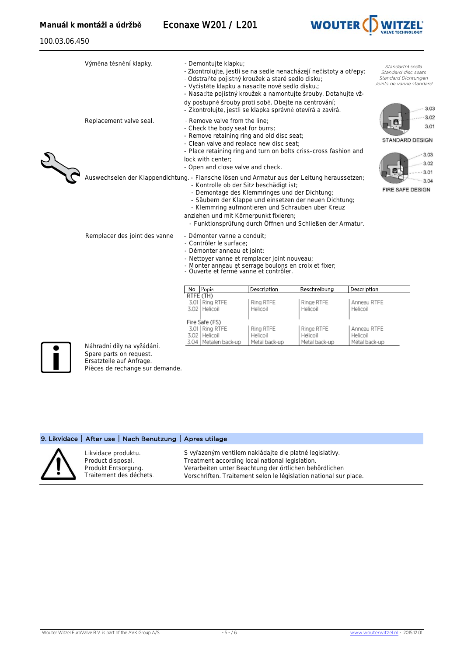100.03.06.450



|  | Výměna těsnění klapky.                                                                       | - Demontujte klapku;<br>- Zkontrolujte, jestli se na sedle nenacházejí nečistoty a otřepy;<br>- Odstraňte pojistný kroužek a staré sedlo disku;<br>- Vyčistěte klapku a nasaďte nové sedlo disku.;<br>- Nasaďte pojistný kroužek a namontujte šrouby. Dotahujte vž-<br>dy postupně šrouby proti sobě. Dbejte na centrování:<br>- Zkontrolujte, jestli se klapka správně otevírá a zavírá. |             |              |             | Standartní sedla<br>Standard disc seats<br>Standard Dichtungen<br>Joints de vanne standard<br>3.03 |
|--|----------------------------------------------------------------------------------------------|-------------------------------------------------------------------------------------------------------------------------------------------------------------------------------------------------------------------------------------------------------------------------------------------------------------------------------------------------------------------------------------------|-------------|--------------|-------------|----------------------------------------------------------------------------------------------------|
|  | Replacement valve seal.                                                                      | - Remove valve from the line:<br>- Check the body seat for burrs;<br>- Remove retaining ring and old disc seat;<br>- Clean valve and replace new disc seat;<br>- Place retaining ring and turn on bolts criss-cross fashion and<br>lock with center:<br>- Open and close valve and check.                                                                                                 |             |              |             | 3.02<br>3.01<br>STANDARD DESIGN<br>3.03<br>3.02                                                    |
|  | Auswechselen der Klappendichtung. - Flansche lösen und Armatur aus der Leitung heraussetzen; | - Kontrolle ob der Sitz beschädigt ist;<br>- Demontage des Klemmringes und der Dichtung;<br>- Säubern der Klappe und einsetzen der neuen Dichtung;<br>- Klemmring aufmontieren und Schrauben uber Kreuz<br>anziehen und mit Körnerpunkt fixieren;<br>- Funktionsprüfung durch Öffnen und Schließen der Armatur.                                                                           |             |              |             | 3.01<br>3.04<br>FIRE SAFE DESIGN                                                                   |
|  | Remplacer des joint des vanne                                                                | - Démonter vanne a conduit:<br>- Contrôler le surface:<br>- Démonter anneau et joint;<br>- Nettoyer vanne et remplacer joint nouveau;<br>- Monter anneau et serrage boulons en croix et fixer;<br>- Ouverte et fermé vanne et contrôler.                                                                                                                                                  |             |              |             |                                                                                                    |
|  |                                                                                              | No Popis<br>RTFE (TH)                                                                                                                                                                                                                                                                                                                                                                     | Description | Beschreibung | Description |                                                                                                    |

Fire Safe (FS)

Náhradní díly na vyžádání. Spare parts on request. Ersatzteile auf Anfrage. Pièces de rechange sur demande.

## 9. Likvidace | After use | Nach Benutzung | Apres utilage



Likvidace produktu. Product disposal. Produkt Entsorgung. Traitement des déchets. S vyřazeným ventilem nakládajte dle platné legislativy. Treatment according local national legislation. Verarbeiten unter Beachtung der örtlichen behördlichen Vorschriften. Traitement selon le législation national sur place.

3.01 Ring RTFE Ring RTFE Ringe RTFE Anneau RTFE 3.02 | Helicoil | Helicoil | Helicoil | Helicoil

 $3.51$  Fire Safe (FS) 3.01 | Ring RTFE | Ring RTFE | | Ringe RTFE | | Annea 3.02 | Helicoil | Helicoil | Helicoil | Helicoil | Helicoil | Helicoil | Helicoil 3.04 Metalen back-up Metal back-up Metal back-up Métal back-up